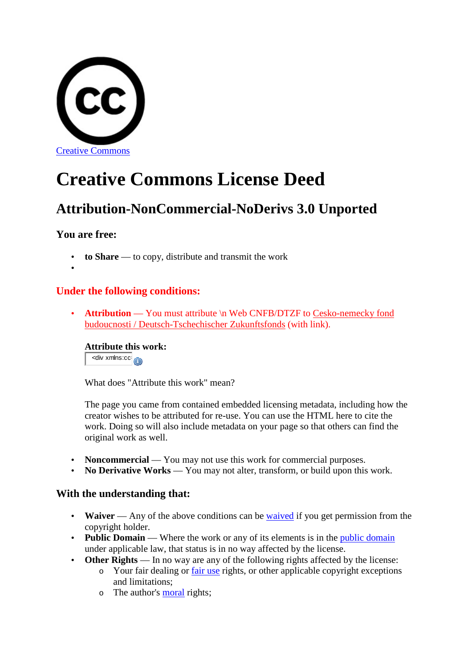

# **Creative Commons License Deed**

## **Attribution-NonCommercial-NoDerivs 3.0 Unported**

## **You are free:**

- **to Share** to copy, distribute and transmit the work
- •

## **Under the following conditions:**

• **Attribution** — You must attribute  $\ln$  Web CNFB/DTZF to Cesko-nemecky fond budoucnosti / Deutsch-Tschechischer Zukunftsfonds (with link).

**Attribute this work:**  $\overline{\phantom{a}}$  <div xmlns:cc $\overline{\phantom{a}}$ 

What does "Attribute this work" mean?

The page you came from contained embedded licensing metadata, including how the creator wishes to be attributed for re-use. You can use the HTML here to cite the work. Doing so will also include metadata on your page so that others can find the original work as well.

- **Noncommercial** You may not use this work for commercial purposes.
- **No Derivative Works** You may not alter, transform, or build upon this work.

## **With the understanding that:**

- **Waiver** Any of the above conditions can be waived if you get permission from the copyright holder.
- **Public Domain** Where the work or any of its elements is in the *public domain* under applicable law, that status is in no way affected by the license.
- **Other Rights** In no way are any of the following rights affected by the license:
	- $\circ$  Your fair dealing or fair use rights, or other applicable copyright exceptions and limitations;
	- o The author's moral rights;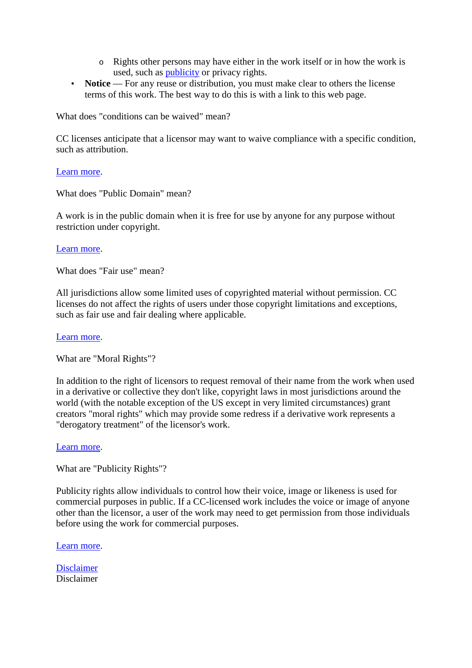- o Rights other persons may have either in the work itself or in how the work is used, such as publicity or privacy rights.
- **Notice** For any reuse or distribution, you must make clear to others the license terms of this work. The best way to do this is with a link to this web page.

What does "conditions can be waived" mean?

CC licenses anticipate that a licensor may want to waive compliance with a specific condition, such as attribution.

### Learn more.

What does "Public Domain" mean?

A work is in the public domain when it is free for use by anyone for any purpose without restriction under copyright.

### Learn more.

What does "Fair use" mean?

All jurisdictions allow some limited uses of copyrighted material without permission. CC licenses do not affect the rights of users under those copyright limitations and exceptions, such as fair use and fair dealing where applicable.

#### Learn more.

What are "Moral Rights"?

In addition to the right of licensors to request removal of their name from the work when used in a derivative or collective they don't like, copyright laws in most jurisdictions around the world (with the notable exception of the US except in very limited circumstances) grant creators "moral rights" which may provide some redress if a derivative work represents a "derogatory treatment" of the licensor's work.

#### Learn more.

What are "Publicity Rights"?

Publicity rights allow individuals to control how their voice, image or likeness is used for commercial purposes in public. If a CC-licensed work includes the voice or image of anyone other than the licensor, a user of the work may need to get permission from those individuals before using the work for commercial purposes.

Learn more.

Disclaimer Disclaimer